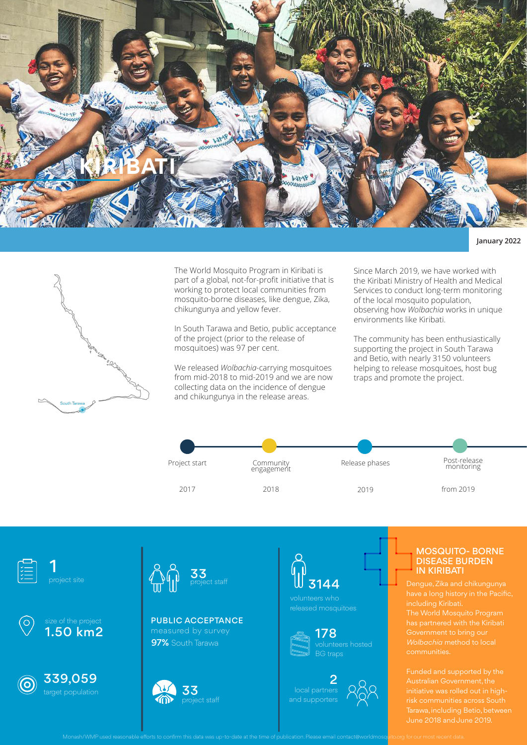

#### **January 2022**



The World Mosquito Program in Kiribati is part of a global, not-for-profit initiative that is working to protect local communities from mosquito-borne diseases, like dengue, Zika, chikungunya and yellow fever.

In South Tarawa and Betio, public acceptance of the project (prior to the release of mosquitoes) was 97 per cent.

We released *Wolbachia*-carrying mosquitoes from mid-2018 to mid-2019 and we are now collecting data on the incidence of dengue and chikungunya in the release areas.

Since March 2019, we have worked with the Kiribati Ministry of Health and Medical Services to conduct long-term monitoring of the local mosquito population, observing how *Wolbachia* works in unique environments like Kiribati.

The community has been enthusiastically supporting the project in South Tarawa and Betio, with nearly 3150 volunteers helping to release mosquitoes, host bug traps and promote the project.















**97%** South Tarawa PUBLIC ACCEPTANCE





volunteers who





### MOSQUITO- BORNE DISEASE BURDEN IN KIRIBATI

have a long history in the Pacific,<br>including Kiribeti

Tarawa, including Betio, between June 2018 and June 2019.